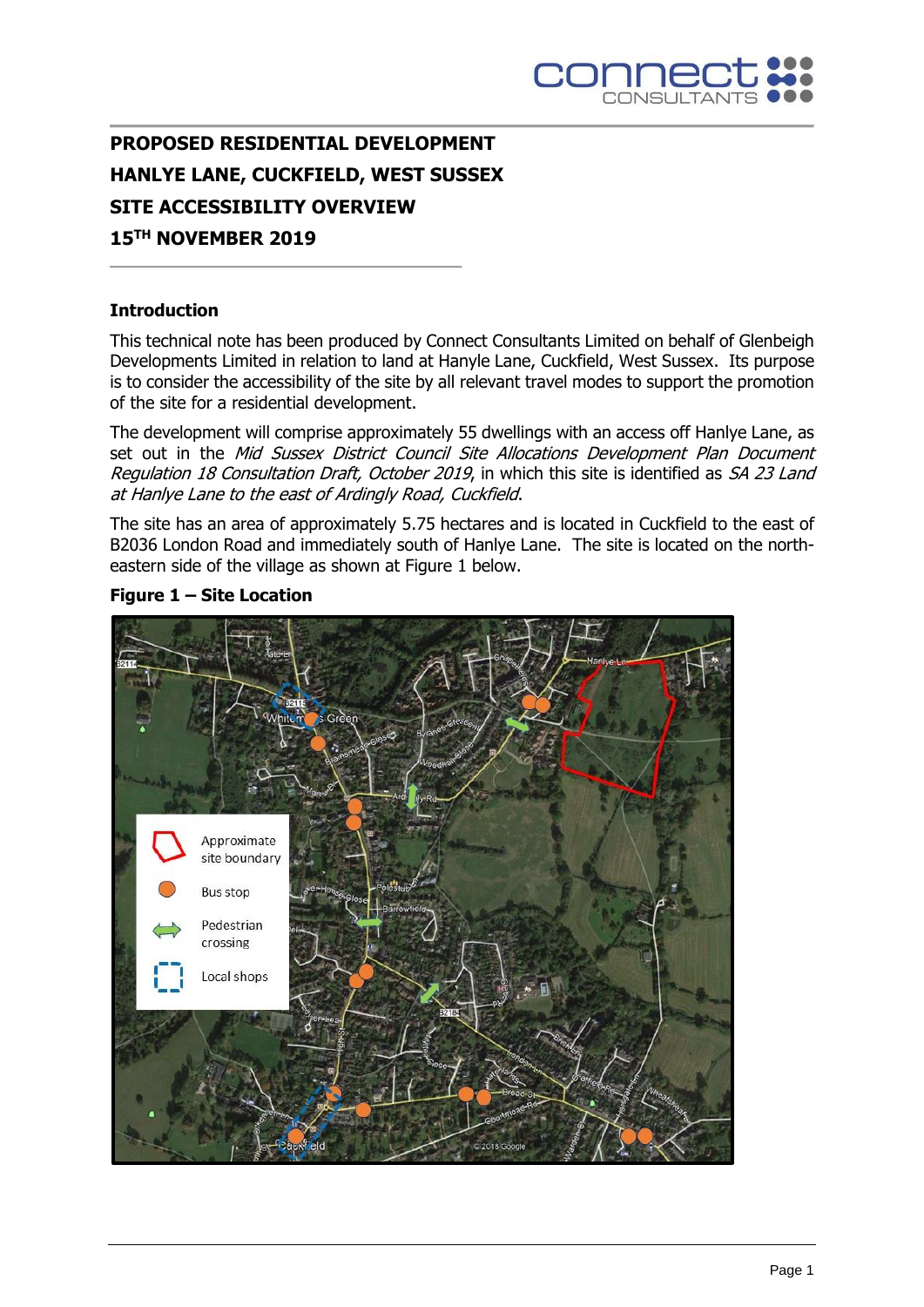

# **PROPOSED RESIDENTIAL DEVELOPMENT HANLYE LANE, CUCKFIELD, WEST SUSSEX SITE ACCESSIBILITY OVERVIEW 15TH NOVEMBER 2019**

### **Introduction**

This technical note has been produced by Connect Consultants Limited on behalf of Glenbeigh Developments Limited in relation to land at Hanyle Lane, Cuckfield, West Sussex. Its purpose is to consider the accessibility of the site by all relevant travel modes to support the promotion of the site for a residential development.

The development will comprise approximately 55 dwellings with an access off Hanlye Lane, as set out in the Mid Sussex District Council Site Allocations Development Plan Document Regulation 18 Consultation Draft, October 2019, in which this site is identified as SA 23 Land at Hanlye Lane to the east of Ardingly Road, Cuckfield.

The site has an area of approximately 5.75 hectares and is located in Cuckfield to the east of B2036 London Road and immediately south of Hanlye Lane. The site is located on the northeastern side of the village as shown at Figure 1 below.



**Figure 1 – Site Location**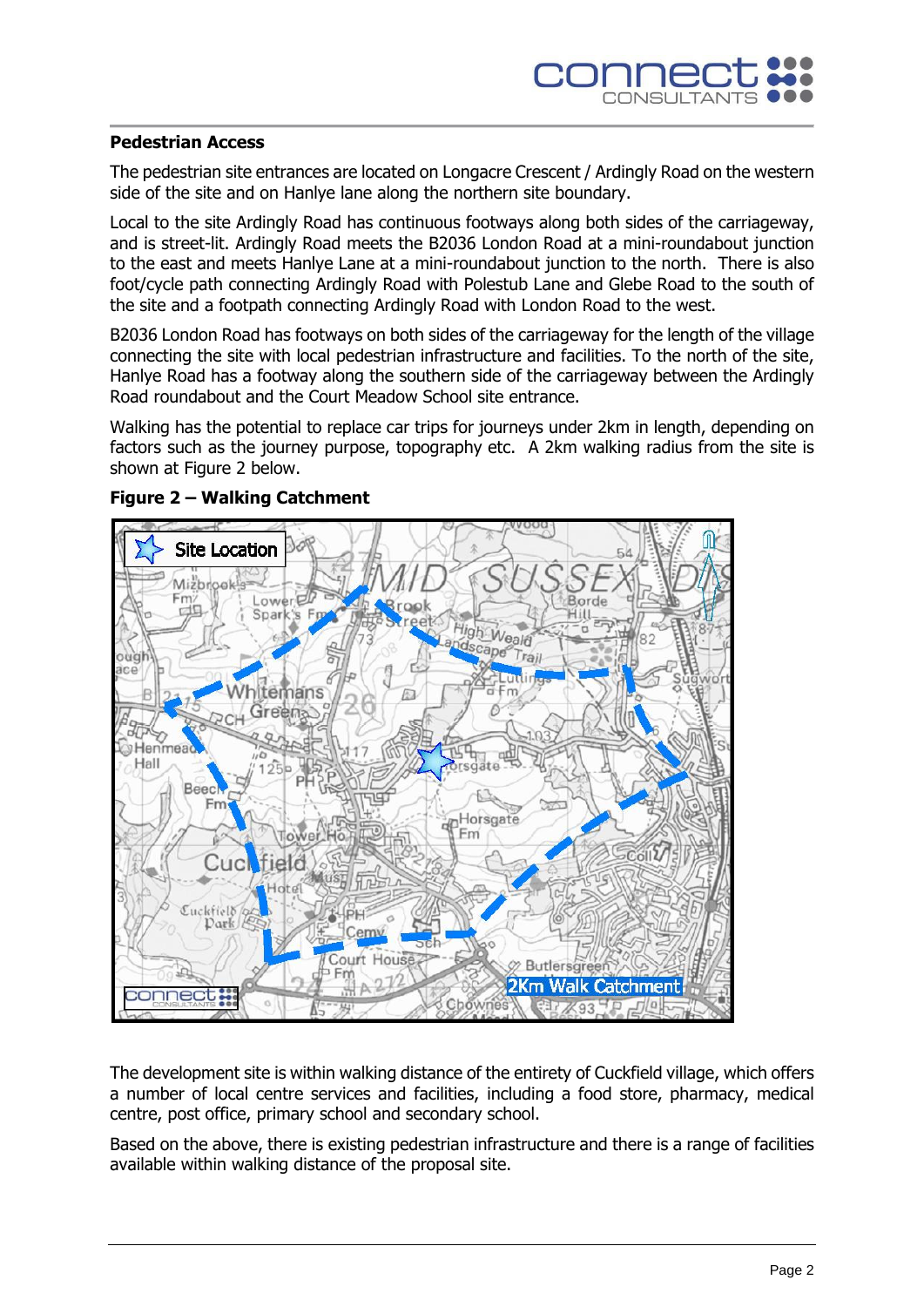### **Pedestrian Access**

The pedestrian site entrances are located on Longacre Crescent / Ardingly Road on the western side of the site and on Hanlye lane along the northern site boundary.

Local to the site Ardingly Road has continuous footways along both sides of the carriageway, and is street-lit. Ardingly Road meets the B2036 London Road at a mini-roundabout junction to the east and meets Hanlye Lane at a mini-roundabout junction to the north. There is also foot/cycle path connecting Ardingly Road with Polestub Lane and Glebe Road to the south of the site and a footpath connecting Ardingly Road with London Road to the west.

B2036 London Road has footways on both sides of the carriageway for the length of the village connecting the site with local pedestrian infrastructure and facilities. To the north of the site, Hanlye Road has a footway along the southern side of the carriageway between the Ardingly Road roundabout and the Court Meadow School site entrance.

Walking has the potential to replace car trips for journeys under 2km in length, depending on factors such as the journey purpose, topography etc. A 2km walking radius from the site is shown at Figure 2 below.



### **Figure 2 – Walking Catchment**

The development site is within walking distance of the entirety of Cuckfield village, which offers a number of local centre services and facilities, including a food store, pharmacy, medical centre, post office, primary school and secondary school.

Based on the above, there is existing pedestrian infrastructure and there is a range of facilities available within walking distance of the proposal site.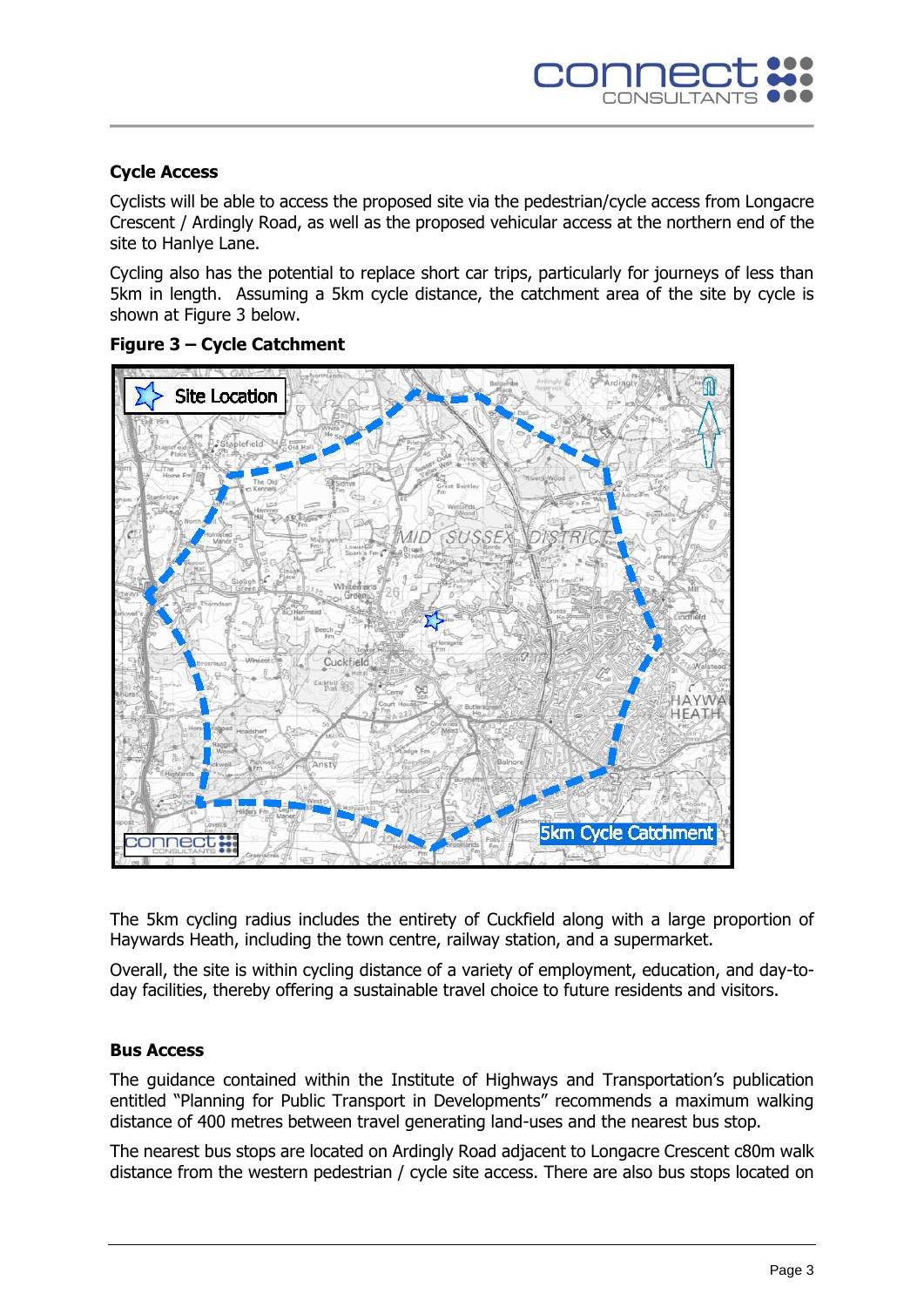## **Cycle Access**

Cyclists will be able to access the proposed site via the pedestrian/cycle access from Longacre Crescent / Ardingly Road, as well as the proposed vehicular access at the northern end of the site to Hanlye Lane.

Cycling also has the potential to replace short car trips, particularly for journeys of less than 5km in length. Assuming a 5km cycle distance, the catchment area of the site by cycle is shown at Figure 3 below.



# **Figure 3 – Cycle Catchment**

The 5km cycling radius includes the entirety of Cuckfield along with a large proportion of Haywards Heath, including the town centre, railway station, and a supermarket.

Overall, the site is within cycling distance of a variety of employment, education, and day-today facilities, thereby offering a sustainable travel choice to future residents and visitors.

## **Bus Access**

The guidance contained within the Institute of Highways and Transportation's publication entitled "Planning for Public Transport in Developments" recommends a maximum walking distance of 400 metres between travel generating land-uses and the nearest bus stop.

The nearest bus stops are located on Ardingly Road adjacent to Longacre Crescent c80m walk distance from the western pedestrian / cycle site access. There are also bus stops located on